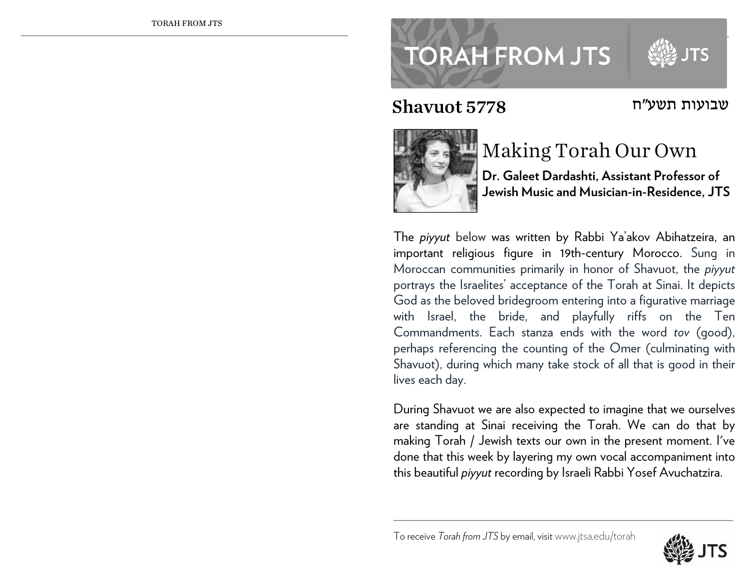## **TORAH FROM JTS**

## שבועות תשע"ח 5778 Shavuot



## Making Torah Our Own

**Dr. Galeet Dardashti, Assistant Professor of Jewish Music and Musician-in-Residence, JTS** 

The *piyyut* below was written by Rabbi Ya'akov Abihatzeira, an important religious figure in 19th-century Morocco. Sung in Moroccan communities primarily in honor of Shavuot, the *piyyut* portrays the Israelites' acceptance of the Torah at Sinai. It depicts God as the beloved bridegroom entering into a figurative marriage with Israel, the bride, and playfully riffs on the Ten Commandments. Each stanza ends with the word *tov* (good), perhaps referencing the counting of the Omer (culminating with Shavuot), during which many take stock of all that is good in their lives each day.

During Shavuot we are also expected to imagine that we ourselves are standing at Sinai receiving the Torah. We can do that by making Torah / Jewish texts our own in the present moment. I've done that this week by layering my own vocal accompaniment into this beautiful *piyyut* recording by Israeli Rabbi Yosef Avuchatzira.

To receive *Torah from JTS* by email, visitwww.jtsa.edu/torah